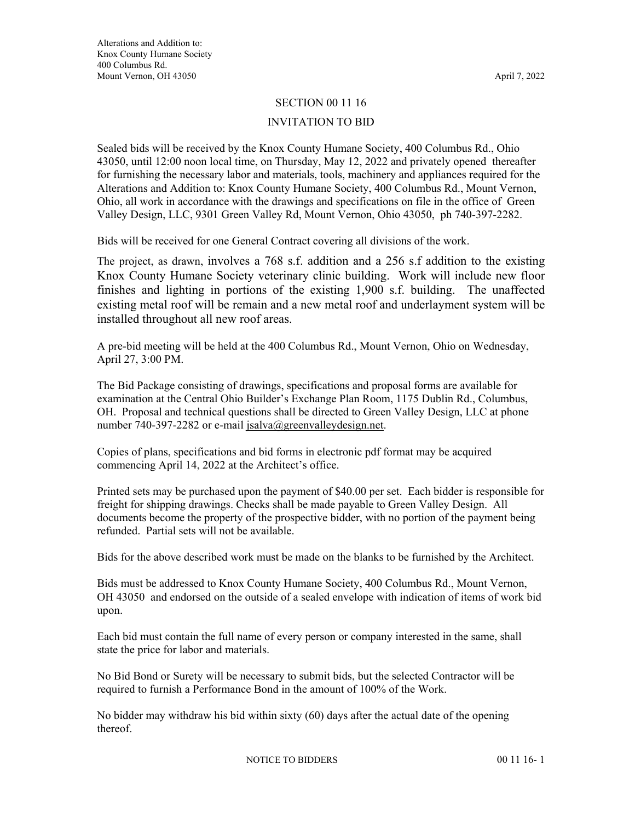## SECTION 00 11 16

## INVITATION TO BID

Sealed bids will be received by the Knox County Humane Society, 400 Columbus Rd., Ohio 43050, until 12:00 noon local time, on Thursday, May 12, 2022 and privately opened thereafter for furnishing the necessary labor and materials, tools, machinery and appliances required for the Alterations and Addition to: Knox County Humane Society, 400 Columbus Rd., Mount Vernon, Ohio, all work in accordance with the drawings and specifications on file in the office of Green Valley Design, LLC, 9301 Green Valley Rd, Mount Vernon, Ohio 43050, ph 740-397-2282.

Bids will be received for one General Contract covering all divisions of the work.

The project, as drawn, involves a 768 s.f. addition and a 256 s.f addition to the existing Knox County Humane Society veterinary clinic building. Work will include new floor finishes and lighting in portions of the existing 1,900 s.f. building. The unaffected existing metal roof will be remain and a new metal roof and underlayment system will be installed throughout all new roof areas.

A pre-bid meeting will be held at the 400 Columbus Rd., Mount Vernon, Ohio on Wednesday, April 27, 3:00 PM.

The Bid Package consisting of drawings, specifications and proposal forms are available for examination at the Central Ohio Builder's Exchange Plan Room, 1175 Dublin Rd., Columbus, OH. Proposal and technical questions shall be directed to Green Valley Design, LLC at phone number 740-397-2282 or e-mail jsalva@greenvalleydesign.net.

Copies of plans, specifications and bid forms in electronic pdf format may be acquired commencing April 14, 2022 at the Architect's office.

Printed sets may be purchased upon the payment of \$40.00 per set. Each bidder is responsible for freight for shipping drawings. Checks shall be made payable to Green Valley Design. All documents become the property of the prospective bidder, with no portion of the payment being refunded. Partial sets will not be available.

Bids for the above described work must be made on the blanks to be furnished by the Architect.

Bids must be addressed to Knox County Humane Society, 400 Columbus Rd., Mount Vernon, OH 43050 and endorsed on the outside of a sealed envelope with indication of items of work bid upon.

Each bid must contain the full name of every person or company interested in the same, shall state the price for labor and materials.

No Bid Bond or Surety will be necessary to submit bids, but the selected Contractor will be required to furnish a Performance Bond in the amount of 100% of the Work.

No bidder may withdraw his bid within sixty (60) days after the actual date of the opening thereof.

NOTICE TO BIDDERS 00 11 16- 1